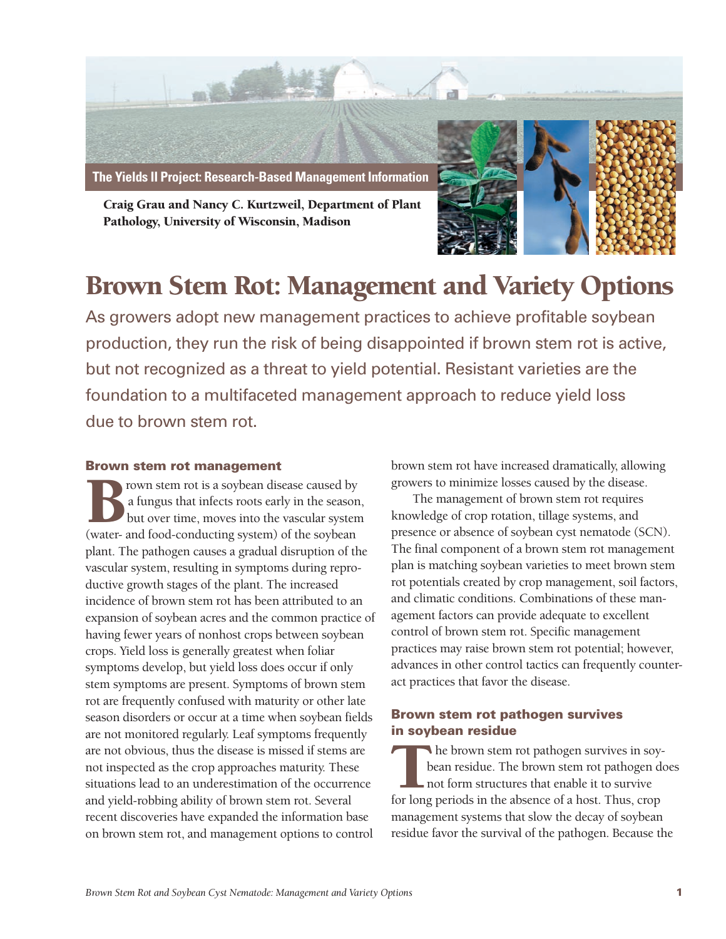

Craig Grau and Nancy C. Kurtzweil, Department of Plant Pathology, University of Wisconsin, Madison



# Brown Stem Rot: Management and Variety Options

As growers adopt new management practices to achieve profitable soybean production, they run the risk of being disappointed if brown stem rot is active, but not recognized as a threat to yield potential. Resistant varieties are the foundation to a multifaceted management approach to reduce yield loss due to brown stem rot.

#### **Brown stem rot management**

rown stem rot is a soybean disease caused by a fungus that infects roots early in the season, but over time, moves into the vascular system Frown stem rot is a soybean disease caused by<br>a fungus that infects roots early in the season<br>but over time, moves into the vascular system<br>(water- and food-conducting system) of the soybean plant. The pathogen causes a gradual disruption of the vascular system, resulting in symptoms during reproductive growth stages of the plant. The increased incidence of brown stem rot has been attributed to an expansion of soybean acres and the common practice of having fewer years of nonhost crops between soybean crops. Yield loss is generally greatest when foliar symptoms develop, but yield loss does occur if only stem symptoms are present. Symptoms of brown stem rot are frequently confused with maturity or other late season disorders or occur at a time when soybean fields are not monitored regularly. Leaf symptoms frequently are not obvious, thus the disease is missed if stems are not inspected as the crop approaches maturity. These situations lead to an underestimation of the occurrence and yield-robbing ability of brown stem rot. Several recent discoveries have expanded the information base on brown stem rot, and management options to control

brown stem rot have increased dramatically, allowing growers to minimize losses caused by the disease.

The management of brown stem rot requires knowledge of crop rotation, tillage systems, and presence or absence of soybean cyst nematode (SCN). The final component of a brown stem rot management plan is matching soybean varieties to meet brown stem rot potentials created by crop management, soil factors, and climatic conditions. Combinations of these management factors can provide adequate to excellent control of brown stem rot. Specific management practices may raise brown stem rot potential; however, advances in other control tactics can frequently counteract practices that favor the disease.

## **Brown stem rot pathogen survives in soybean residue**

he brown stem rot pathogen survives in soybean residue. The brown stem rot pathogen does not form structures that enable it to survive The brown stem rot pathogen survives in soy<br>bean residue. The brown stem rot pathogen c<br>not form structures that enable it to survive<br>for long periods in the absence of a host. Thus, crop management systems that slow the decay of soybean residue favor the survival of the pathogen. Because the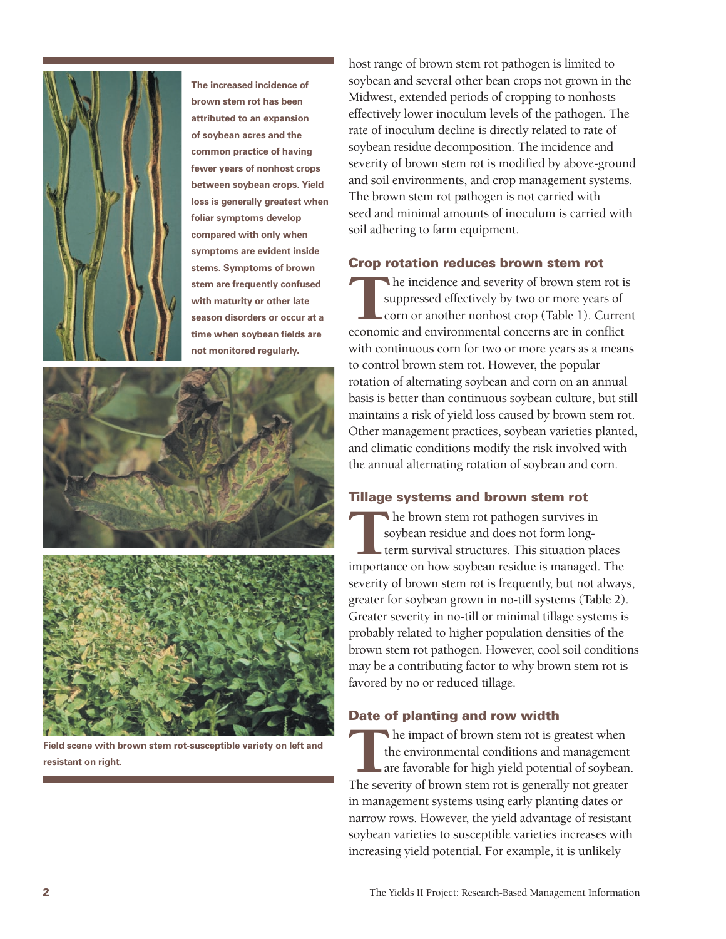

**The increased incidence of brown stem rot has been attributed to an expansion of soybean acres and the common practice of having fewer years of nonhost crops between soybean crops. Yield loss is generally greatest when foliar symptoms develop compared with only when symptoms are evident inside stems. Symptoms of brown stem are frequently confused with maturity or other late season disorders or occur at a time when soybean fields are not monitored regularly.**



**Field scene with brown stem rot-susceptible variety on left and** Field scene with brown stem rot-susceptible variety on left and<br>resistant on right.<br>The seve

host range of brown stem rot pathogen is limited to soybean and several other bean crops not grown in the Midwest, extended periods of cropping to nonhosts effectively lower inoculum levels of the pathogen. The rate of inoculum decline is directly related to rate of soybean residue decomposition. The incidence and severity of brown stem rot is modified by above-ground and soil environments, and crop management systems. The brown stem rot pathogen is not carried with seed and minimal amounts of inoculum is carried with soil adhering to farm equipment.

### **Crop rotation reduces brown stem rot**

he incidence and severity of brown stem rot is suppressed effectively by two or more years of corn or another nonhost crop (Table 1). Current The incidence and severity of brown stem rot is suppressed effectively by two or more years of corn or another nonhost crop (Table 1). Curre economic and environmental concerns are in conflict with continuous corn for two or more years as a means to control brown stem rot. However, the popular rotation of alternating soybean and corn on an annual basis is better than continuous soybean culture, but still maintains a risk of yield loss caused by brown stem rot. Other management practices, soybean varieties planted, and climatic conditions modify the risk involved with the annual alternating rotation of soybean and corn.

### **Tillage systems and brown stem rot**

he brown stem rot pathogen survives in soybean residue and does not form longterm survival structures. This situation places The brown stem rot pathogen survives in<br>soybean residue and does not form long-<br>term survival structures. This situation places<br>importance on how soybean residue is managed. The severity of brown stem rot is frequently, but not always, greater for soybean grown in no-till systems (Table 2). Greater severity in no-till or minimal tillage systems is probably related to higher population densities of the brown stem rot pathogen. However, cool soil conditions may be a contributing factor to why brown stem rot is favored by no or reduced tillage.

#### **Date of planting and row width**

he impact of brown stem rot is greatest when the environmental conditions and management are favorable for high yield potential of soybean. The severity of brown stem rot is generally not greater in management systems using early planting dates or narrow rows. However, the yield advantage of resistant soybean varieties to susceptible varieties increases with increasing yield potential. For example, it is unlikely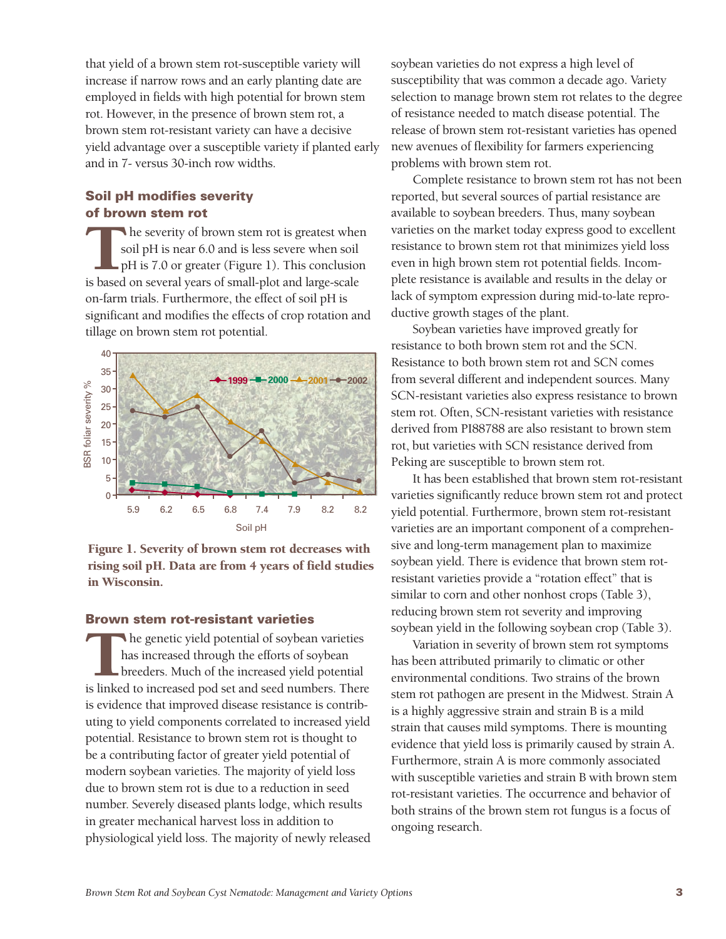that yield of a brown stem rot-susceptible variety will increase if narrow rows and an early planting date are employed in fields with high potential for brown stem rot. However, in the presence of brown stem rot, a brown stem rot-resistant variety can have a decisive yield advantage over a susceptible variety if planted early and in 7- versus 30-inch row widths.

## **Soil pH modifies severity of brown stem rot**

The severity of brown stem rot is greatest whe soil pH is near 6.0 and is less severe when soil pH is 7.0 or greater (Figure 1). This conclusio is based on several years of small-plot and large-scale he severity of brown stem rot is greatest when soil pH is near 6.0 and is less severe when soil pH is 7.0 or greater (Figure 1). This conclusion on-farm trials. Furthermore, the effect of soil pH is significant and modifies the effects of crop rotation and tillage on brown stem rot potential.



Figure 1. Severity of brown stem rot decreases with rising soil pH. Data are from 4 years of field studies in Wisconsin.

### **Brown stem rot-resistant varieties**

he genetic yield potential of soybean varieties has increased through the efforts of soybean breeders. Much of the increased yield potential In the genetic yield potential of soybean varieties<br>has increased through the efforts of soybean<br>breeders. Much of the increased yield potential<br>is linked to increased pod set and seed numbers. There is evidence that improved disease resistance is contributing to yield components correlated to increased yield potential. Resistance to brown stem rot is thought to be a contributing factor of greater yield potential of modern soybean varieties. The majority of yield loss due to brown stem rot is due to a reduction in seed number. Severely diseased plants lodge, which results in greater mechanical harvest loss in addition to physiological yield loss. The majority of newly released soybean varieties do not express a high level of susceptibility that was common a decade ago. Variety selection to manage brown stem rot relates to the degree of resistance needed to match disease potential. The release of brown stem rot-resistant varieties has opened new avenues of flexibility for farmers experiencing problems with brown stem rot.

Complete resistance to brown stem rot has not been reported, but several sources of partial resistance are available to soybean breeders. Thus, many soybean varieties on the market today express good to excellent resistance to brown stem rot that minimizes yield loss even in high brown stem rot potential fields. Incomplete resistance is available and results in the delay or lack of symptom expression during mid-to-late reproductive growth stages of the plant.

Soybean varieties have improved greatly for resistance to both brown stem rot and the SCN. Resistance to both brown stem rot and SCN comes from several different and independent sources. Many SCN-resistant varieties also express resistance to brown stem rot. Often, SCN-resistant varieties with resistance derived from PI88788 are also resistant to brown stem rot, but varieties with SCN resistance derived from Peking are susceptible to brown stem rot.

It has been established that brown stem rot-resistant varieties significantly reduce brown stem rot and protect yield potential. Furthermore, brown stem rot-resistant varieties are an important component of a comprehensive and long-term management plan to maximize soybean yield. There is evidence that brown stem rotresistant varieties provide a "rotation effect" that is similar to corn and other nonhost crops (Table 3), reducing brown stem rot severity and improving soybean yield in the following soybean crop (Table 3).

Variation in severity of brown stem rot symptoms has been attributed primarily to climatic or other environmental conditions. Two strains of the brown stem rot pathogen are present in the Midwest. Strain A is a highly aggressive strain and strain B is a mild strain that causes mild symptoms. There is mounting evidence that yield loss is primarily caused by strain A. Furthermore, strain A is more commonly associated with susceptible varieties and strain B with brown stem rot-resistant varieties. The occurrence and behavior of both strains of the brown stem rot fungus is a focus of ongoing research.